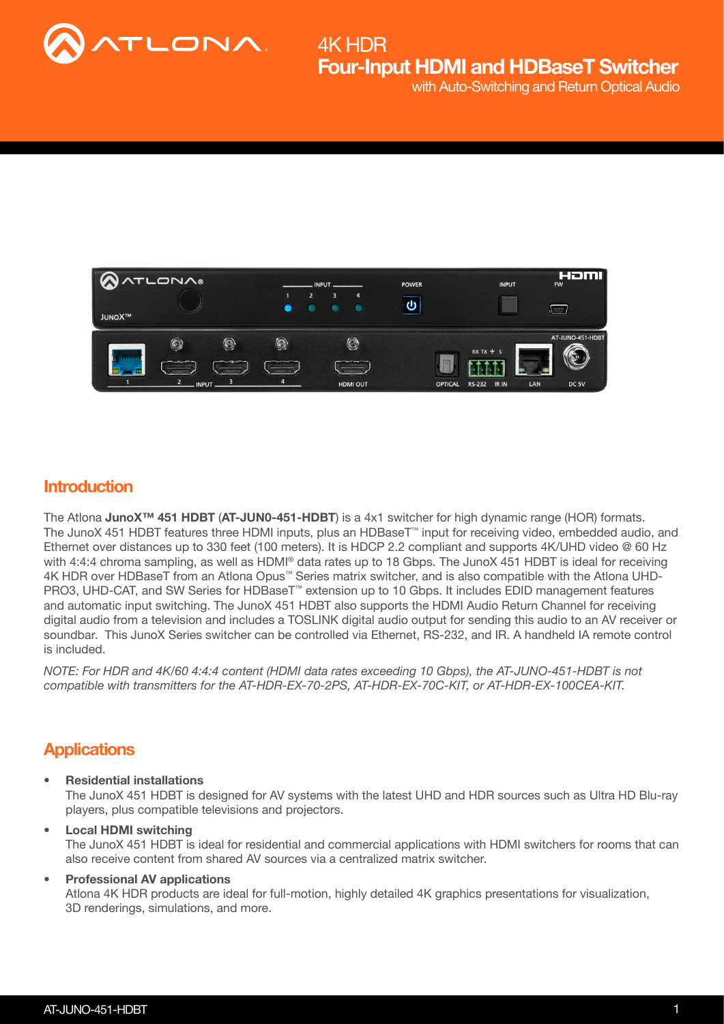



### **Introduction**

The Atlona JunoX<sup>™</sup> 451 HDBT (AT-JUN0-451-HDBT) is a 4x1 switcher for high dynamic range (HOR) formats. The JunoX 451 HDBT features three HDMI inputs, plus an HDBaseT™ input for receiving video, embedded audio, and Ethernet over distances up to 330 feet (100 meters). It is HDCP 2.2 compliant and supports 4K/UHD video @ 60 Hz with 4:4:4 chroma sampling, as well as HDMI® data rates up to 18 Gbps. The JunoX 451 HDBT is ideal for receiving 4K HDR over HDBaseT from an Atlona Opus™ Series matrix switcher, and is also compatible with the Atlona UHD-PRO3, UHD-CAT, and SW Series for HDBaseT™ extension up to 10 Gbps. It includes EDID management features and automatic input switching. The JunoX 451 HDBT also supports the HDMI Audio Return Channel for receiving digital audio from a television and includes a TOSLINK digital audio output for sending this audio to an AV receiver or soundbar. This JunoX Series switcher can be controlled via Ethernet, RS-232, and IR. A handheld IA remote control is included.

*NOTE: For HDR and 4K/60 4:4:4 content (HDMI data rates exceeding 10 Gbps), the AT-JUNO-451-HDBT is not compatible with transmitters for the AT-HDR-EX-70-2PS, AT-HDR-EX-70C-KIT, or AT-HDR-EX-100CEA-KIT.*

### **Applications**

• Residential installations

The JunoX 451 HDBT is designed for AV systems with the latest UHD and HDR sources such as Ultra HD Blu-ray players, plus compatible televisions and projectors.

• Local HDMI switching The JunoX 451 HDBT is ideal for residential and commercial applications with HDMI switchers for rooms that can also receive content from shared AV sources via a centralized matrix switcher.

#### • Professional AV applications

Atlona 4K HDR products are ideal for full-motion, highly detailed 4K graphics presentations for visualization, 3D renderings, simulations, and more.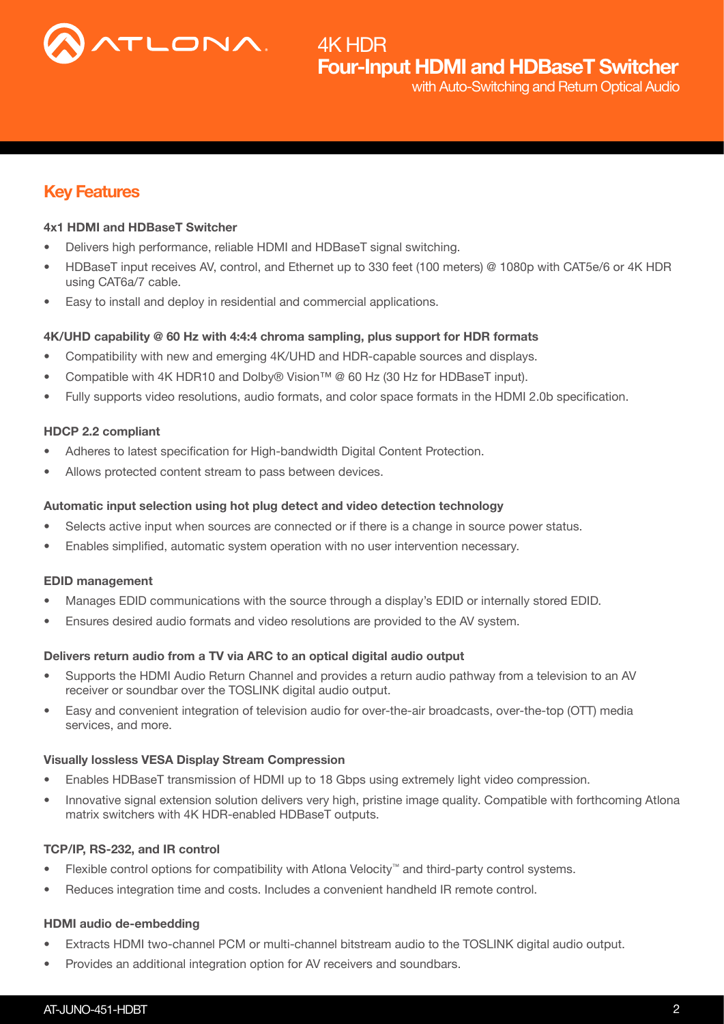

### Key Features

#### 4x1 HDMI and HDBaseT Switcher

- Delivers high performance, reliable HDMI and HDBaseT signal switching.
- HDBaseT input receives AV, control, and Ethernet up to 330 feet (100 meters) @ 1080p with CAT5e/6 or 4K HDR using CAT6a/7 cable.
- Easy to install and deploy in residential and commercial applications.

#### 4K/UHD capability @ 60 Hz with 4:4:4 chroma sampling, plus support for HDR formats

- Compatibility with new and emerging 4K/UHD and HDR-capable sources and displays.
- Compatible with 4K HDR10 and Dolby® Vision™ @ 60 Hz (30 Hz for HDBaseT input).
- Fully supports video resolutions, audio formats, and color space formats in the HDMI 2.0b specification.

#### HDCP 2.2 compliant

- Adheres to latest specification for High-bandwidth Digital Content Protection.
- Allows protected content stream to pass between devices.

#### Automatic input selection using hot plug detect and video detection technology

- Selects active input when sources are connected or if there is a change in source power status.
- Enables simplified, automatic system operation with no user intervention necessary.

#### EDID management

- Manages EDID communications with the source through a display's EDID or internally stored EDID.
- Ensures desired audio formats and video resolutions are provided to the AV system.

#### Delivers return audio from a TV via ARC to an optical digital audio output

- Supports the HDMI Audio Return Channel and provides a return audio pathway from a television to an AV receiver or soundbar over the TOSLINK digital audio output.
- Easy and convenient integration of television audio for over-the-air broadcasts, over-the-top (OTT) media services, and more.

#### Visually lossless VESA Display Stream Compression

- Enables HDBaseT transmission of HDMI up to 18 Gbps using extremely light video compression.
- Innovative signal extension solution delivers very high, pristine image quality. Compatible with forthcoming Atlona matrix switchers with 4K HDR-enabled HDBaseT outputs.

#### TCP/IP, RS-232, and IR control

- Flexible control options for compatibility with Atlona Velocity™ and third-party control systems.
- Reduces integration time and costs. Includes a convenient handheld IR remote control.

#### HDMI audio de-embedding

- Extracts HDMI two-channel PCM or multi-channel bitstream audio to the TOSLINK digital audio output.
- Provides an additional integration option for AV receivers and soundbars.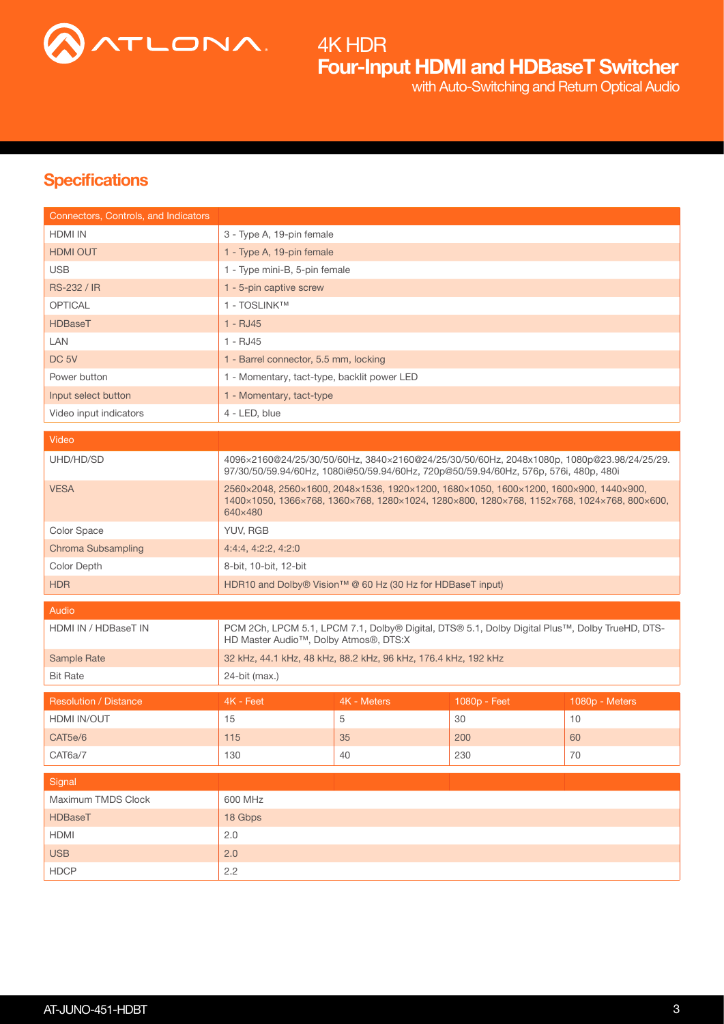

Four-Input HDMI and HDBaseT Switcher 4K HDR with Auto-Switching and Return Optical Audio

## **Specifications**

| Connectors, Controls, and Indicators |                                                                                                                                                                                                |                                                                |              |                |
|--------------------------------------|------------------------------------------------------------------------------------------------------------------------------------------------------------------------------------------------|----------------------------------------------------------------|--------------|----------------|
| <b>HDMI IN</b>                       | 3 - Type A, 19-pin female                                                                                                                                                                      |                                                                |              |                |
| <b>HDMI OUT</b>                      | 1 - Type A, 19-pin female                                                                                                                                                                      |                                                                |              |                |
| <b>USB</b>                           | 1 - Type mini-B, 5-pin female                                                                                                                                                                  |                                                                |              |                |
| <b>RS-232 / IR</b>                   | 1 - 5-pin captive screw                                                                                                                                                                        |                                                                |              |                |
| <b>OPTICAL</b>                       | 1 - TOSLINK™                                                                                                                                                                                   |                                                                |              |                |
| <b>HDBaseT</b>                       | $1 - RJ45$                                                                                                                                                                                     |                                                                |              |                |
| LAN                                  | 1 - RJ45                                                                                                                                                                                       |                                                                |              |                |
| DC <sub>5V</sub>                     | 1 - Barrel connector, 5.5 mm, locking                                                                                                                                                          |                                                                |              |                |
| Power button                         | 1 - Momentary, tact-type, backlit power LED                                                                                                                                                    |                                                                |              |                |
| Input select button                  | 1 - Momentary, tact-type                                                                                                                                                                       |                                                                |              |                |
| Video input indicators               | 4 - LED, blue                                                                                                                                                                                  |                                                                |              |                |
| Video                                |                                                                                                                                                                                                |                                                                |              |                |
|                                      |                                                                                                                                                                                                |                                                                |              |                |
| UHD/HD/SD                            | 4096x2160@24/25/30/50/60Hz, 3840x2160@24/25/30/50/60Hz, 2048x1080p, 1080p@23.98/24/25/29.<br>97/30/50/59.94/60Hz, 1080i@50/59.94/60Hz, 720p@50/59.94/60Hz, 576p, 576i, 480p, 480i              |                                                                |              |                |
| <b>VESA</b>                          | 2560×2048, 2560×1600, 2048×1536, 1920×1200, 1680×1050, 1600×1200, 1600×900, 1440×900,<br>1400×1050, 1366×768, 1360×768, 1280×1024, 1280×800, 1280×768, 1152×768, 1024×768, 800×600,<br>640×480 |                                                                |              |                |
| Color Space                          | YUV, RGB                                                                                                                                                                                       |                                                                |              |                |
| Chroma Subsampling                   | 4:4:4, 4:2:2, 4:2:0                                                                                                                                                                            |                                                                |              |                |
| Color Depth                          | 8-bit, 10-bit, 12-bit                                                                                                                                                                          |                                                                |              |                |
| <b>HDR</b>                           |                                                                                                                                                                                                | HDR10 and Dolby® Vision™ @ 60 Hz (30 Hz for HDBaseT input)     |              |                |
| Audio                                |                                                                                                                                                                                                |                                                                |              |                |
| HDMI IN / HDBaseT IN                 | PCM 2Ch, LPCM 5.1, LPCM 7.1, Dolby® Digital, DTS® 5.1, Dolby Digital Plus™, Dolby TrueHD, DTS-<br>HD Master Audio <sup>™</sup> , Dolby Atmos®, DTS:X                                           |                                                                |              |                |
| Sample Rate                          |                                                                                                                                                                                                | 32 kHz, 44.1 kHz, 48 kHz, 88.2 kHz, 96 kHz, 176.4 kHz, 192 kHz |              |                |
| <b>Bit Rate</b>                      | 24-bit (max.)                                                                                                                                                                                  |                                                                |              |                |
| <b>Resolution / Distance</b>         | 4K - Feet                                                                                                                                                                                      | 4K - Meters                                                    | 1080p - Feet | 1080p - Meters |
| HDMI IN/OUT                          | 15                                                                                                                                                                                             | 5                                                              | 30           | 10             |
| CAT5e/6                              | 115                                                                                                                                                                                            | 35                                                             | 200          | 60             |
| CAT6a/7                              | 130                                                                                                                                                                                            | 40                                                             | 230          | 70             |
|                                      |                                                                                                                                                                                                |                                                                |              |                |
| Signal                               |                                                                                                                                                                                                |                                                                |              |                |
| Maximum TMDS Clock                   | 600 MHz                                                                                                                                                                                        |                                                                |              |                |
| <b>HDBaseT</b>                       | 18 Gbps                                                                                                                                                                                        |                                                                |              |                |
| <b>HDMI</b>                          | 2.0                                                                                                                                                                                            |                                                                |              |                |
| <b>USB</b>                           | 2.0                                                                                                                                                                                            |                                                                |              |                |
| <b>HDCP</b>                          | 2.2                                                                                                                                                                                            |                                                                |              |                |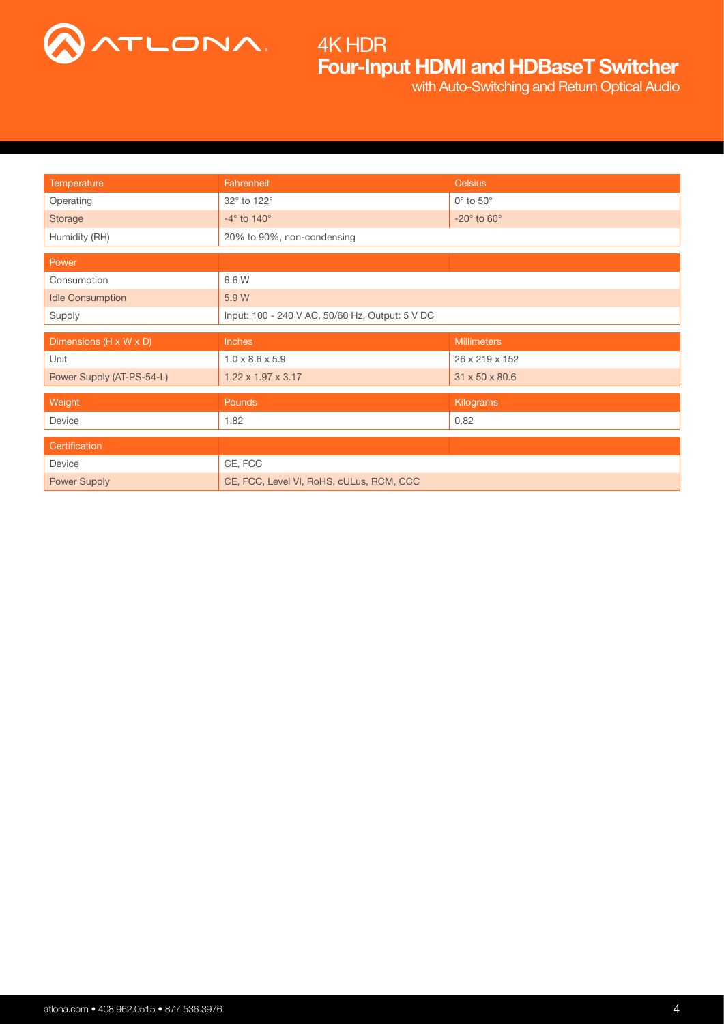

# Four-Input HDMI and HDBaseT Switcher 4K HDR

with Auto-Switching and Return Optical Audio

| Temperature               | Fahrenheit                                      | <b>Celsius</b>                  |  |  |
|---------------------------|-------------------------------------------------|---------------------------------|--|--|
| Operating                 | 32° to 122°                                     | $0^\circ$ to $50^\circ$         |  |  |
| Storage                   | $-4^\circ$ to $140^\circ$                       | -20 $^{\circ}$ to 60 $^{\circ}$ |  |  |
| Humidity (RH)             | 20% to 90%, non-condensing                      |                                 |  |  |
| Power                     |                                                 |                                 |  |  |
| Consumption               | 6.6 W                                           |                                 |  |  |
| <b>Idle Consumption</b>   | 5.9 W                                           |                                 |  |  |
| Supply                    | Input: 100 - 240 V AC, 50/60 Hz, Output: 5 V DC |                                 |  |  |
|                           |                                                 |                                 |  |  |
| Dimensions (H x W x D)    | Inches                                          | <b>Millimeters</b>              |  |  |
| Unit                      | $1.0 \times 8.6 \times 5.9$                     | 26 x 219 x 152                  |  |  |
| Power Supply (AT-PS-54-L) | $1.22 \times 1.97 \times 3.17$                  | 31 x 50 x 80.6                  |  |  |
| Weight                    | <b>Pounds</b>                                   | Kilograms                       |  |  |
| Device                    | 1.82                                            | 0.82                            |  |  |
|                           |                                                 |                                 |  |  |
| Certification<br>Device   | CE, FCC                                         |                                 |  |  |